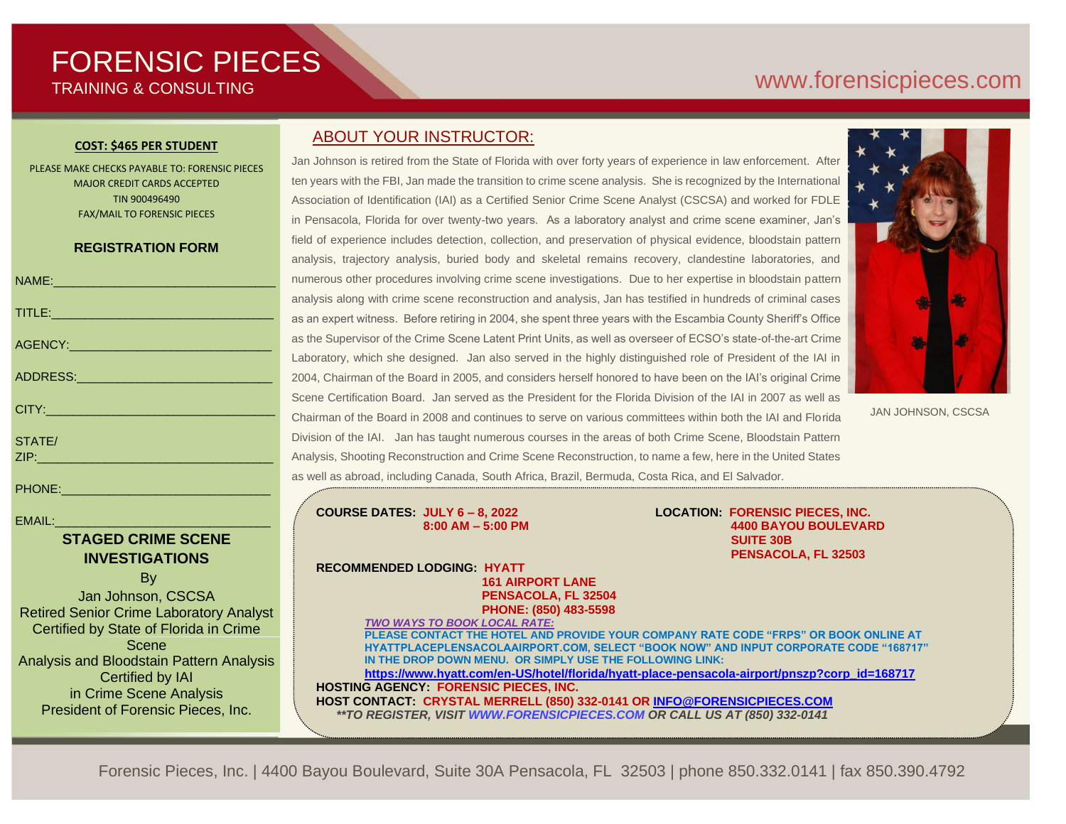# FORENSIC PIECES TRAINING & CONSULTING

# [www.forensicp](http://www.forensic/)ieces.com

#### **COST: \$465 PER STUDENT**

PLEASE MAKE CHECKS PAYABLE TO: FORENSIC PIECES MAJOR CREDIT CARDS ACCEPTED TIN 900496490 FAX/MAIL TO FORENSIC PIECES

### **REGISTRATION FORM**

| NAME: 2008 - 2008 - 2010 - 2010 - 2010 - 2010 - 2011 - 2012 - 2012 - 2012 - 2012 - 2012 - 2012 - 201                                                                                                                          |
|-------------------------------------------------------------------------------------------------------------------------------------------------------------------------------------------------------------------------------|
| TITLE: THE RESIDENCE OF A RESIDENCE OF A RESIDENCE OF A RESIDENCE OF A RESIDENCE OF A RESIDENCE OF A RESIDENCE                                                                                                                |
| AGENCY: ACENCY:                                                                                                                                                                                                               |
| ADDRESS: ADDRESS:                                                                                                                                                                                                             |
| CITY: 2008 2012 2014 2015 2016                                                                                                                                                                                                |
| STATE/                                                                                                                                                                                                                        |
|                                                                                                                                                                                                                               |
| PHONE: NAME OF THE CONTROL OF THE CONTROL OF THE CONTROL OF THE CONTROL OF THE CONTROL OF THE CONTROL OF THE CONTROL OF THE CONTROL OF THE CONTROL OF THE CONTROL OF THE CONTROL OF THE CONTROL OF THE CONTROL OF THE CONTROL |

 $EMAIL:$ 

## **STAGED CRIME SCENE INVESTIGATIONS** By

Jan Johnson, CSCSA Retired Senior Crime Laboratory Analyst Certified by State of Florida in Crime Scene Analysis and Bloodstain Pattern Analysis Certified by IAI in Crime Scene Analysis President of Forensic Pieces, Inc.

## ABOUT YOUR INSTRUCTOR:

Jan Johnson is retired from the State of Florida with over forty years of experience in law enforcement. After ten years with the FBI, Jan made the transition to crime scene analysis. She is recognized by the International Association of Identification (IAI) as a Certified Senior Crime Scene Analyst (CSCSA) and worked for FDLE in Pensacola, Florida for over twenty-two years. As a laboratory analyst and crime scene examiner, Jan's field of experience includes detection, collection, and preservation of physical evidence, bloodstain pattern analysis, trajectory analysis, buried body and skeletal remains recovery, clandestine laboratories, and numerous other procedures involving crime scene investigations. Due to her expertise in bloodstain pattern analysis along with crime scene reconstruction and analysis, Jan has testified in hundreds of criminal cases as an expert witness. Before retiring in 2004, she spent three years with the Escambia County Sheriff's Office as the Supervisor of the Crime Scene Latent Print Units, as well as overseer of ECSO's state-of-the-art Crime Laboratory, which she designed. Jan also served in the highly distinguished role of President of the IAI in 2004, Chairman of the Board in 2005, and considers herself honored to have been on the IAI's original Crime Scene Certification Board. Jan served as the President for the Florida Division of the IAI in 2007 as well as Chairman of the Board in 2008 and continues to serve on various committees within both the IAI and Florida Division of the IAI. Jan has taught numerous courses in the areas of both Crime Scene, Bloodstain Pattern Analysis, Shooting Reconstruction and Crime Scene Reconstruction, to name a few, here in the United States as well as abroad, including Canada, South Africa, Brazil, Bermuda, Costa Rica, and El Salvador.



JAN JOHNSON, CSCSA

**COURSE DATES: JULY 6 – 8, 2022 LOCATION: FORENSIC PIECES, INC.**

 **8:00 AM – 5:00 PM 4400 BAYOU BOULEVARD SUITE 30B PENSACOLA, FL 32503**

**RECOMMENDED LODGING: HYATT 161 AIRPORT LANE PENSACOLA, FL 32504 PHONE: (850) 483-5598**

*TWO WAYS TO BOOK LOCAL RATE:*

**PLEASE CONTACT THE HOTEL AND PROVIDE YOUR COMPANY RATE CODE "FRPS" OR BOOK ONLINE AT HYATTPLACEPLENSACOLAAIRPORT.COM, SELECT "BOOK NOW" AND INPUT CORPORATE CODE "168717" IN THE DROP DOWN MENU. OR SIMPLY USE THE FOLLOWING LINK:** 

**[https://www.hyatt.com/en-US/hotel/florida/hyatt-place-pensacola-airport/pnszp?corp\\_id=168717](https://www.hyatt.com/en-US/hotel/florida/hyatt-place-pensacola-airport/pnszp?corp_id=168717) HOSTING AGENCY: FORENSIC PIECES, INC. HOST CONTACT: CRYSTAL MERRELL (850) 332-0141 OR [INFO@FORENSICPIECES.COM](mailto:INFO@FORENSICPIECES.COM)**  *\*\*TO REGISTER, VISIT [WWW.FORENSICPIECES.COM](http://www.forensicpieces.com/) OR CALL US AT (850) 332-0141*